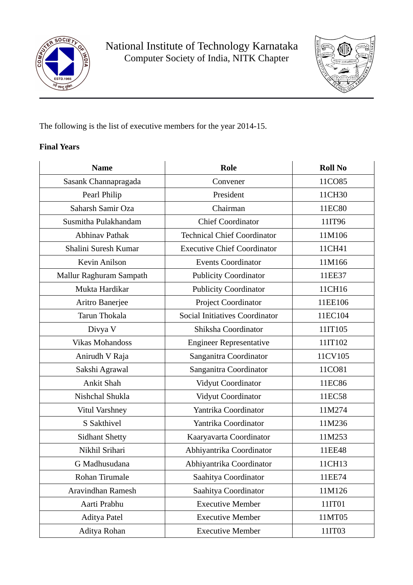

National Institute of Technology Karnataka Computer Society of India, NITK Chapter



The following is the list of executive members for the year 2014-15.

## **Final Years**

| <b>Name</b>             | <b>Role</b>                           | <b>Roll No</b> |
|-------------------------|---------------------------------------|----------------|
| Sasank Channapragada    | Convener                              | 11CO85         |
| Pearl Philip            | President                             | 11CH30         |
| Saharsh Samir Oza       | Chairman                              | 11EC80         |
| Susmitha Pulakhandam    | <b>Chief Coordinator</b>              | 11IT96         |
| <b>Abhinav Pathak</b>   | <b>Technical Chief Coordinator</b>    | 11M106         |
| Shalini Suresh Kumar    | <b>Executive Chief Coordinator</b>    | 11CH41         |
| <b>Kevin Anilson</b>    | <b>Events Coordinator</b>             | 11M166         |
| Mallur Raghuram Sampath | <b>Publicity Coordinator</b>          | 11EE37         |
| Mukta Hardikar          | <b>Publicity Coordinator</b>          | 11CH16         |
| Aritro Banerjee         | Project Coordinator                   | 11EE106        |
| Tarun Thokala           | <b>Social Initiatives Coordinator</b> | 11EC104        |
| Divya V                 | Shiksha Coordinator                   | 11IT105        |
| <b>Vikas Mohandoss</b>  | <b>Engineer Representative</b>        | 11IT102        |
| Anirudh V Raja          | Sanganitra Coordinator                | 11CV105        |
| Sakshi Agrawal          | Sanganitra Coordinator                | 11CO81         |
| Ankit Shah              | Vidyut Coordinator                    | 11EC86         |
| Nishchal Shukla         | Vidyut Coordinator                    | 11EC58         |
| <b>Vitul Varshney</b>   | Yantrika Coordinator                  | 11M274         |
| S Sakthivel             | Yantrika Coordinator                  | 11M236         |
| <b>Sidhant Shetty</b>   | Kaaryavarta Coordinator               | 11M253         |
| Nikhil Srihari          | Abhiyantrika Coordinator              | 11EE48         |
| G Madhusudana           | Abhiyantrika Coordinator              | 11CH13         |
| Rohan Tirumale          | Saahitya Coordinator                  | 11EE74         |
| Aravindhan Ramesh       | Saahitya Coordinator                  | 11M126         |
| Aarti Prabhu            | <b>Executive Member</b>               | 11IT01         |
| <b>Aditya Patel</b>     | <b>Executive Member</b>               | 11MT05         |
| Aditya Rohan            | <b>Executive Member</b>               | 11IT03         |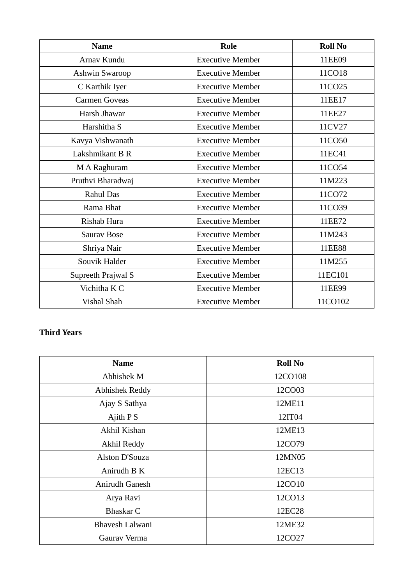| <b>Name</b>          | <b>Role</b>             | <b>Roll No</b> |
|----------------------|-------------------------|----------------|
| Arnav Kundu          | <b>Executive Member</b> | 11EE09         |
| Ashwin Swaroop       | <b>Executive Member</b> | 11CO18         |
| C Karthik Iyer       | <b>Executive Member</b> | 11CO25         |
| <b>Carmen Goveas</b> | <b>Executive Member</b> | 11EE17         |
| Harsh Jhawar         | <b>Executive Member</b> | 11EE27         |
| Harshitha S          | <b>Executive Member</b> | 11CV27         |
| Kavya Vishwanath     | <b>Executive Member</b> | 11CO50         |
| Lakshmikant B R      | <b>Executive Member</b> | 11EC41         |
| M A Raghuram         | <b>Executive Member</b> | 11CO54         |
| Pruthvi Bharadwaj    | <b>Executive Member</b> | 11M223         |
| <b>Rahul Das</b>     | <b>Executive Member</b> | 11CO72         |
| Rama Bhat            | <b>Executive Member</b> | 11CO39         |
| Rishab Hura          | <b>Executive Member</b> | 11EE72         |
| <b>Saurav Bose</b>   | <b>Executive Member</b> | 11M243         |
| Shriya Nair          | <b>Executive Member</b> | 11EE88         |
| Souvik Halder        | <b>Executive Member</b> | 11M255         |
| Supreeth Prajwal S   | <b>Executive Member</b> | 11EC101        |
| Vichitha K C         | <b>Executive Member</b> | 11EE99         |
| Vishal Shah          | <b>Executive Member</b> | 11CO102        |

## **Third Years**

| <b>Name</b>           | <b>Roll No</b> |
|-----------------------|----------------|
| Abhishek M            | 12CO108        |
| <b>Abhishek Reddy</b> | 12CO03         |
| Ajay S Sathya         | 12ME11         |
| Ajith $P S$           | 12IT04         |
| Akhil Kishan          | 12ME13         |
| Akhil Reddy           | 12CO79         |
| Alston D'Souza        | 12MN05         |
| Anirudh B K           | 12EC13         |
| Anirudh Ganesh        | 12CO10         |
| Arya Ravi             | 12CO13         |
| <b>Bhaskar C</b>      | 12EC28         |
| Bhavesh Lalwani       | 12ME32         |
| Gaurav Verma          | 12CO27         |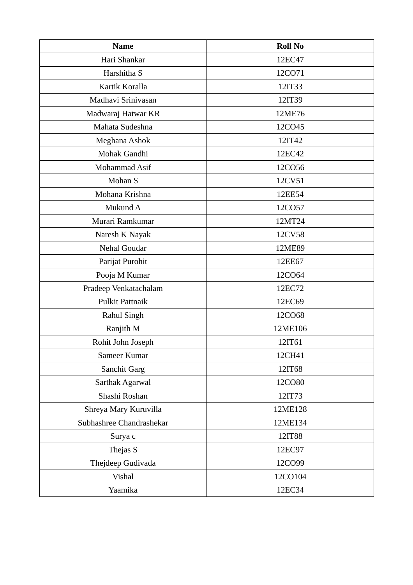| <b>Name</b>              | <b>Roll No</b> |
|--------------------------|----------------|
| Hari Shankar             | 12EC47         |
| Harshitha S              | 12CO71         |
| Kartik Koralla           | 12IT33         |
| Madhavi Srinivasan       | 12IT39         |
| Madwaraj Hatwar KR       | 12ME76         |
| Mahata Sudeshna          | 12CO45         |
| Meghana Ashok            | 12IT42         |
| Mohak Gandhi             | 12EC42         |
| Mohammad Asif            | 12CO56         |
| Mohan S                  | 12CV51         |
| Mohana Krishna           | 12EE54         |
| Mukund A                 | 12CO57         |
| Murari Ramkumar          | 12MT24         |
| Naresh K Nayak           | 12CV58         |
| Nehal Goudar             | 12ME89         |
| Parijat Purohit          | 12EE67         |
| Pooja M Kumar            | 12CO64         |
| Pradeep Venkatachalam    | 12EC72         |
| Pulkit Pattnaik          | 12EC69         |
| Rahul Singh              | 12CO68         |
| Ranjith M                | 12ME106        |
| Rohit John Joseph        | 12IT61         |
| Sameer Kumar             | 12CH41         |
| Sanchit Garg             | 12IT68         |
| Sarthak Agarwal          | 12CO80         |
| Shashi Roshan            | 12IT73         |
| Shreya Mary Kuruvilla    | 12ME128        |
| Subhashree Chandrashekar | 12ME134        |
| Surya c                  | 12IT88         |
| Thejas S                 | 12EC97         |
| Thejdeep Gudivada        | 12CO99         |
| <b>Vishal</b>            | 12CO104        |
| Yaamika                  | 12EC34         |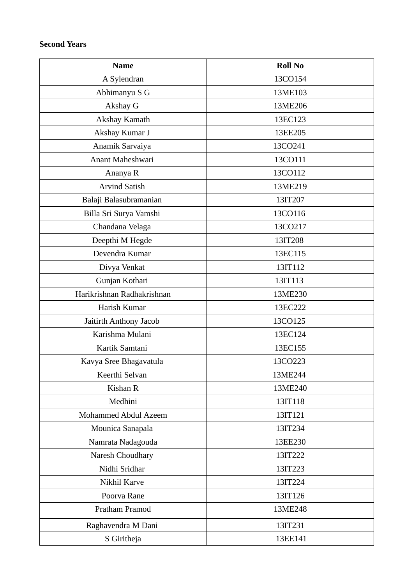## **Second Years**

| <b>Name</b>                 | <b>Roll No</b> |
|-----------------------------|----------------|
| A Sylendran                 | 13CO154        |
| Abhimanyu S G               | 13ME103        |
| Akshay G                    | 13ME206        |
| Akshay Kamath               | 13EC123        |
| Akshay Kumar J              | 13EE205        |
| Anamik Sarvaiya             | 13CO241        |
| Anant Maheshwari            | 13CO111        |
| Ananya R                    | 13CO112        |
| <b>Arvind Satish</b>        | 13ME219        |
| Balaji Balasubramanian      | 13IT207        |
| Billa Sri Surya Vamshi      | 13CO116        |
| Chandana Velaga             | 13CO217        |
| Deepthi M Hegde             | 13IT208        |
| Devendra Kumar              | 13EC115        |
| Divya Venkat                | 13IT112        |
| Gunjan Kothari              | 13IT113        |
| Harikrishnan Radhakrishnan  | 13ME230        |
| Harish Kumar                | 13EC222        |
| Jaitirth Anthony Jacob      | 13CO125        |
| Karishma Mulani             | 13EC124        |
| Kartik Samtani              | 13EC155        |
| Kavya Sree Bhagavatula      | 13CO223        |
| Keerthi Selvan              | 13ME244        |
| Kishan R                    | 13ME240        |
| Medhini                     | 13IT118        |
| <b>Mohammed Abdul Azeem</b> | 13IT121        |
| Mounica Sanapala            | 13IT234        |
| Namrata Nadagouda           | 13EE230        |
| Naresh Choudhary            | 13IT222        |
| Nidhi Sridhar               | 13IT223        |
| Nikhil Karve                | 13IT224        |
| Poorva Rane                 | 13IT126        |
| Pratham Pramod              | 13ME248        |
| Raghavendra M Dani          | 13IT231        |
| S Giritheja                 | 13EE141        |